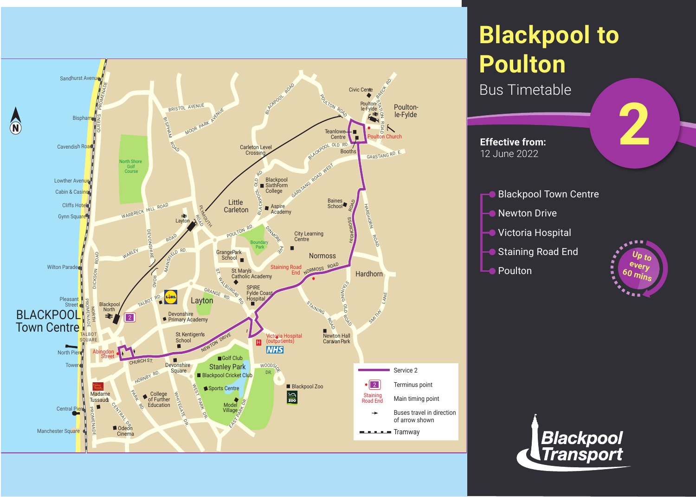

# **Blackpool to Poulton**

Bus Timetable

**Effective from:** 12 June 2022

Blackpool Town Centre **Newton Drive** 

- **Victoria Hospital**
- Staining Road End
- Lo Poulton



**2**